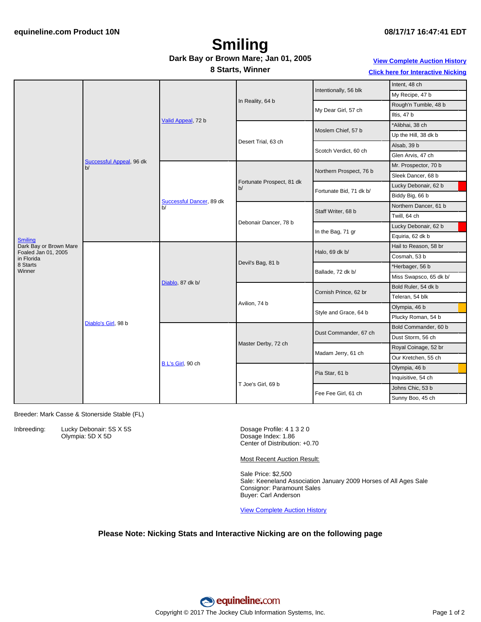## **Smiling**

#### **Dark Bay or Brown Mare; Jan 01, 2005**

#### **View [Complete](http://www.equineline.com/Free-Auction-Results.cfm?upsellReferenceNumber=&upsellHorseName=&upsellBreedType=&upsellHorseType=&upsellYOB=&lookupAuctionResults=true&tempHorseType=&tempSale=ALL&tempYear=ALL&search_type=HORSE&reference_number=7376865&horse_name=Fateful&horse_type=ALL&year=ALL&sale=ALL&consignor_id=&consignor_name=&buyer_id=&buyer_name=&price_range_low=&price_range_high=&availableConsignors=&availableBuyers=&fromFree5CrossPedigree=Y) Auction History Click here for [Interactive](#page-1-0) Nicking**

**8 Starts, Winner**

|  |  | <b>CIICK here for interactive Nicking</b> |  |
|--|--|-------------------------------------------|--|
|  |  |                                           |  |
|  |  |                                           |  |

|                                               |                                | Valid Appeal, 72 b             |                                 | Intentionally, 56 blk   | Intent, 48 ch          |
|-----------------------------------------------|--------------------------------|--------------------------------|---------------------------------|-------------------------|------------------------|
|                                               |                                |                                |                                 |                         | My Recipe, 47 b        |
|                                               |                                |                                | In Reality, 64 b                | My Dear Girl, 57 ch     | Rough'n Tumble, 48 b   |
|                                               |                                |                                |                                 |                         | Iltis, 47 b            |
|                                               | Successful Appeal, 96 dk<br>b/ |                                | Desert Trial, 63 ch             | Moslem Chief, 57 b      | *Alibhai, 38 ch        |
|                                               |                                |                                |                                 |                         | Up the Hill, 38 dk b   |
|                                               |                                |                                |                                 | Scotch Verdict, 60 ch   | Alsab, 39 b            |
|                                               |                                |                                |                                 |                         | Glen Arvis, 47 ch      |
|                                               |                                | Successful Dancer, 89 dk<br>b/ | Fortunate Prospect, 81 dk<br>b/ | Northern Prospect, 76 b | Mr. Prospector, 70 b   |
|                                               |                                |                                |                                 |                         | Sleek Dancer, 68 b     |
|                                               |                                |                                |                                 | Fortunate Bid, 71 dk b/ | Lucky Debonair, 62 b   |
|                                               |                                |                                |                                 |                         | Biddy Big, 66 b        |
|                                               |                                |                                | Debonair Dancer, 78 b           | Staff Writer, 68 b      | Northern Dancer, 61 b  |
|                                               |                                |                                |                                 |                         | Twill, 64 ch           |
|                                               |                                |                                |                                 | In the Bag, 71 gr       | Lucky Debonair, 62 b   |
| <b>Smiling</b>                                |                                |                                |                                 |                         | Equiria, 62 dk b       |
| Dark Bay or Brown Mare<br>Foaled Jan 01, 2005 | Diablo's Girl, 98 b            | Diablo, 87 dk b/               | Devil's Bag, 81 b               | Halo, 69 dk b/          | Hail to Reason, 58 br  |
| in Florida                                    |                                |                                |                                 |                         | Cosmah, 53 b           |
| 8 Starts<br>Winner                            |                                |                                |                                 | Ballade, 72 dk b/       | *Herbager, 56 b        |
|                                               |                                |                                |                                 |                         | Miss Swapsco, 65 dk b/ |
|                                               |                                |                                | Avilion, 74 b                   | Cornish Prince, 62 br   | Bold Ruler, 54 dk b    |
|                                               |                                |                                |                                 |                         | Teleran, 54 blk        |
|                                               |                                |                                |                                 | Style and Grace, 64 b   | Olympia, 46 b          |
|                                               |                                |                                |                                 |                         | Plucky Roman, 54 b     |
|                                               |                                | B L's Girl, 90 ch              | Master Derby, 72 ch             | Dust Commander, 67 ch   | Bold Commander, 60 b   |
|                                               |                                |                                |                                 |                         | Dust Storm, 56 ch      |
|                                               |                                |                                |                                 | Madam Jerry, 61 ch      | Royal Coinage, 52 br   |
|                                               |                                |                                |                                 |                         | Our Kretchen, 55 ch    |
|                                               |                                |                                | T Joe's Girl, 69 b              | Pia Star, 61 b          | Olympia, 46 b          |
|                                               |                                |                                |                                 |                         | Inquisitive, 54 ch     |
|                                               |                                |                                |                                 | Fee Fee Girl, 61 ch     | Johns Chic, 53 b       |
|                                               |                                |                                |                                 |                         | Sunny Boo, 45 ch       |

Breeder: Mark Casse & Stonerside Stable (FL)

Inbreeding: Lucky Debonair: 5S X 5S Olympia: 5D X 5D

Dosage Profile: 4 1 3 2 0 Dosage Index: 1.86 Center of Distribution: +0.70

Most Recent Auction Result:

Sale Price: \$2,500 Sale: Keeneland Association January 2009 Horses of All Ages Sale Consignor: Paramount Sales Buyer: Carl Anderson

View [Complete](http://www.equineline.com/Free-Auction-Results.cfm?upsellReferenceNumber=&upsellHorseName=&upsellBreedType=&upsellHorseType=&upsellYOB=&lookupAuctionResults=true&tempHorseType=&tempSale=ALL&tempYear=ALL&search_type=HORSE&reference_number=7376865&horse_name=Fateful&horse_type=ALL&year=ALL&sale=ALL&consignor_id=&consignor_name=&buyer_id=&buyer_name=&price_range_low=&price_range_high=&availableConsignors=&availableBuyers=&fromFree5CrossPedigree=Y) Auction History

#### **Please Note: Nicking Stats and Interactive Nicking are on the following page**